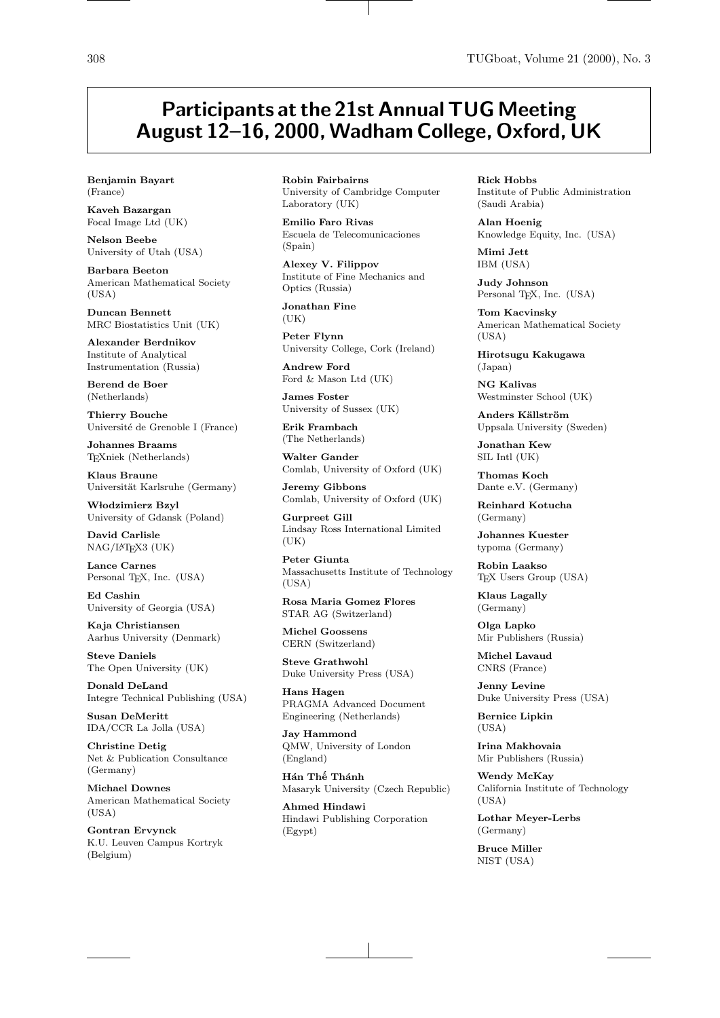## Participants at the 21st Annual TUG Meeting August 12-16, 2000, Wadham College, Oxford, UK

Benjamin Bayart (France)

Kaveh Bazargan Focal Image Ltd (UK)

Nelson Beebe University of Utah (USA)

Barbara Beeton American Mathematical Society  $(USA)$ 

Duncan Bennett MRC Biostatistics Unit (UK)

Alexander Berdnikov Institute of Analytical Instrumentation (Russia)

Berend de Boer (Netherlands)

Thierry Bouche Université de Grenoble I (France)

Johannes Braams TEXniek (Netherlands)

Klaus Braune Universität Karlsruhe (Germany)

Włodzimierz Bzyl University of Gdansk (Poland)

David Carlisle NAG/LATEX3 (UK)

Lance Carnes Personal TFX, Inc. (USA)

Ed Cashin University of Georgia (USA)

Kaja Christiansen Aarhus University (Denmark)

Steve Daniels The Open University (UK)

Donald DeLand Integre Technical Publishing (USA)

Susan DeMeritt IDA/CCR La Jolla (USA)

Christine Detig Net & Publication Consultance (Germany)

Michael Downes American Mathematical Society (USA)

Gontran Ervynck K.U. Leuven Campus Kortryk (Belgium)

Robin Fairbairns University of Cambridge Computer Laboratory (UK)

Emilio Faro Rivas Escuela de Telecomunicaciones (Spain)

Alexey V. Filippov Institute of Fine Mechanics and Optics (Russia)

Jonathan Fine  $(IIK)$ 

Peter Flynn University College, Cork (Ireland)

Andrew Ford Ford & Mason Ltd (UK)

James Foster University of Sussex (UK)

Erik Frambach (The Netherlands)

Walter Gander Comlab, University of Oxford (UK)

Jeremy Gibbons Comlab, University of Oxford (UK)

Gurpreet Gill Lindsay Ross International Limited  $(UK)$ 

Peter Giunta Massachusetts Institute of Technology  $(USA)$ 

Rosa Maria Gomez Flores STAR AG (Switzerland)

Michel Goossens CERN (Switzerland)

Steve Grathwohl Duke University Press (USA)

Hans Hagen PRAGMA Advanced Document Engineering (Netherlands)

Jay Hammond QMW, University of London (England)

Hán Thế Thánh Masaryk University (Czech Republic)

Ahmed Hindawi Hindawi Publishing Corporation (Egypt)

Rick Hobbs Institute of Public Administration (Saudi Arabia)

Alan Hoenig Knowledge Equity, Inc. (USA)

Mimi Jett IBM (USA)

Judy Johnson Personal TEX, Inc. (USA)

Tom Kacvinsky American Mathematical Society  $(USA)$ 

Hirotsugu Kakugawa (Japan)

NG Kalivas Westminster School (UK)

Anders Källström Uppsala University (Sweden)

Jonathan Kew SIL Intl (UK)

Thomas Koch Dante e.V. (Germany)

Reinhard Kotucha (Germany)

Johannes Kuester typoma (Germany)

Robin Laakso TEX Users Group (USA)

Klaus Lagally (Germany)

Olga Lapko Mir Publishers (Russia)

Michel Lavaud CNRS (France)

Jenny Levine Duke University Press (USA)

Bernice Lipkin (USA)

Irina Makhovaia Mir Publishers (Russia)

Wendy McKay California Institute of Technology (USA)

Lothar Meyer-Lerbs (Germany)

Bruce Miller NIST (USA)